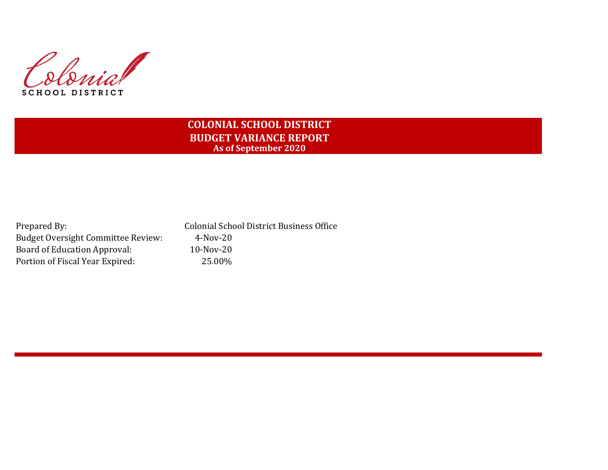Slovial **SCHOOL DISTRICT** 

# **COLONIAL SCHOOL DISTRICT BUDGET VARIANCE REPORT As of September 2020**

Prepared By: Colonial School District Business Office Budget Oversight Committee Review: 4-Nov-20 Board of Education Approval: 10-Nov-20 Portion of Fiscal Year Expired: 25.00%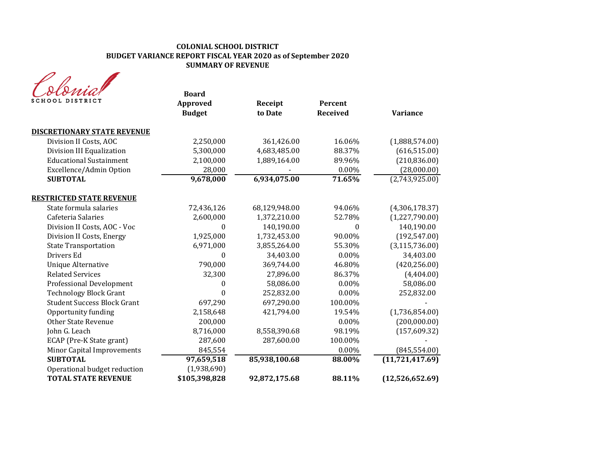# **COLONIAL SCHOOL DISTRICT BUDGET VARIANCE REPORT FISCAL YEAR 2020 as of September 2020 SUMMARY OF REVENUE**

| SCHOOL DISTRICT                    | <b>Board</b><br>Approved<br><b>Budget</b> | Receipt<br>to Date | Percent<br><b>Received</b> | <b>Variance</b>   |
|------------------------------------|-------------------------------------------|--------------------|----------------------------|-------------------|
| <b>DISCRETIONARY STATE REVENUE</b> |                                           |                    |                            |                   |
| Division II Costs, AOC             | 2,250,000                                 | 361,426.00         | 16.06%                     | (1,888,574.00)    |
| Division III Equalization          | 5,300,000                                 | 4,683,485.00       | 88.37%                     | (616, 515.00)     |
| <b>Educational Sustainment</b>     | 2,100,000                                 | 1,889,164.00       | 89.96%                     | (210, 836.00)     |
| Excellence/Admin Option            | 28,000                                    |                    | 0.00%                      | (28,000.00)       |
| <b>SUBTOTAL</b>                    | 9,678,000                                 | 6,934,075.00       | 71.65%                     | (2,743,925.00)    |
| <b>RESTRICTED STATE REVENUE</b>    |                                           |                    |                            |                   |
| State formula salaries             | 72,436,126                                | 68,129,948.00      | 94.06%                     | (4,306,178.37)    |
| Cafeteria Salaries                 | 2,600,000                                 | 1,372,210.00       | 52.78%                     | (1,227,790.00)    |
| Division II Costs, AOC - Voc       | 0                                         | 140,190.00         | $\theta$                   | 140,190.00        |
| Division II Costs, Energy          | 1,925,000                                 | 1,732,453.00       | 90.00%                     | (192, 547.00)     |
| <b>State Transportation</b>        | 6,971,000                                 | 3,855,264.00       | 55.30%                     | (3, 115, 736.00)  |
| Drivers Ed                         | $\theta$                                  | 34,403.00          | 0.00%                      | 34,403.00         |
| <b>Unique Alternative</b>          | 790,000                                   | 369,744.00         | 46.80%                     | (420, 256.00)     |
| <b>Related Services</b>            | 32,300                                    | 27,896.00          | 86.37%                     | (4,404.00)        |
| <b>Professional Development</b>    | 0                                         | 58,086.00          | 0.00%                      | 58,086.00         |
| <b>Technology Block Grant</b>      | $\theta$                                  | 252,832.00         | $0.00\%$                   | 252,832.00        |
| <b>Student Success Block Grant</b> | 697,290                                   | 697,290.00         | 100.00%                    |                   |
| Opportunity funding                | 2,158,648                                 | 421,794.00         | 19.54%                     | (1,736,854.00)    |
| <b>Other State Revenue</b>         | 200,000                                   |                    | $0.00\%$                   | (200,000.00)      |
| John G. Leach                      | 8,716,000                                 | 8,558,390.68       | 98.19%                     | (157, 609.32)     |
| ECAP (Pre-K State grant)           | 287,600                                   | 287,600.00         | 100.00%                    |                   |
| Minor Capital Improvements         | 845,554                                   |                    | 0.00%                      | (845, 554.00)     |
| <b>SUBTOTAL</b>                    | 97,659,518                                | 85,938,100.68      | 88.00%                     | (11, 721, 417.69) |
| Operational budget reduction       | (1,938,690)                               |                    |                            |                   |
| <b>TOTAL STATE REVENUE</b>         | \$105,398,828                             | 92,872,175.68      | 88.11%                     | (12,526,652.69)   |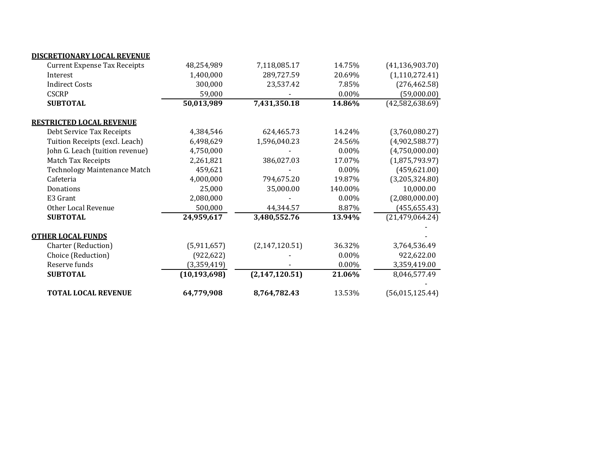| <b>TOTAL LOCAL REVENUE</b>          | 64,779,908     | 8,764,782.43     | 13.53%   | (56, 015, 125.44) |
|-------------------------------------|----------------|------------------|----------|-------------------|
| <b>SUBTOTAL</b>                     | (10, 193, 698) | (2, 147, 120.51) | 21.06%   | 8,046,577.49      |
| Reserve funds                       | (3,359,419)    |                  | 0.00%    | 3,359,419.00      |
| Choice (Reduction)                  | (922, 622)     |                  | 0.00%    | 922,622.00        |
| Charter (Reduction)                 | (5,911,657)    | (2, 147, 120.51) | 36.32%   | 3,764,536.49      |
| <b>OTHER LOCAL FUNDS</b>            |                |                  |          |                   |
| <b>SUBTOTAL</b>                     | 24,959,617     | 3,480,552.76     | 13.94%   | (21, 479, 064.24) |
| Other Local Revenue                 | 500,000        | 44,344.57        | 8.87%    | (455, 655.43)     |
| E3 Grant                            | 2,080,000      |                  | 0.00%    | (2,080,000.00)    |
| Donations                           | 25,000         | 35,000.00        | 140.00%  | 10,000.00         |
| Cafeteria                           | 4,000,000      | 794,675.20       | 19.87%   | (3,205,324.80)    |
| Technology Maintenance Match        | 459,621        |                  | $0.00\%$ | (459, 621.00)     |
| <b>Match Tax Receipts</b>           | 2,261,821      | 386,027.03       | 17.07%   | (1,875,793.97)    |
| John G. Leach (tuition revenue)     | 4,750,000      |                  | $0.00\%$ | (4,750,000.00)    |
| Tuition Receipts (excl. Leach)      | 6,498,629      | 1,596,040.23     | 24.56%   | (4,902,588.77)    |
| Debt Service Tax Receipts           | 4,384,546      | 624,465.73       | 14.24%   | (3,760,080.27)    |
| <b>RESTRICTED LOCAL REVENUE</b>     |                |                  |          |                   |
| <b>SUBTOTAL</b>                     | 50,013,989     | 7,431,350.18     | 14.86%   | (42, 582, 638.69) |
| <b>CSCRP</b>                        | 59,000         |                  | 0.00%    | (59,000.00)       |
| <b>Indirect Costs</b>               | 300,000        | 23,537.42        | 7.85%    | (276, 462.58)     |
| Interest                            | 1,400,000      | 289,727.59       | 20.69%   | (1, 110, 272.41)  |
| <b>Current Expense Tax Receipts</b> | 48,254,989     | 7,118,085.17     | 14.75%   | (41, 136, 903.70) |
| DISCRETIONARY LOCAL REVENUE         |                |                  |          |                   |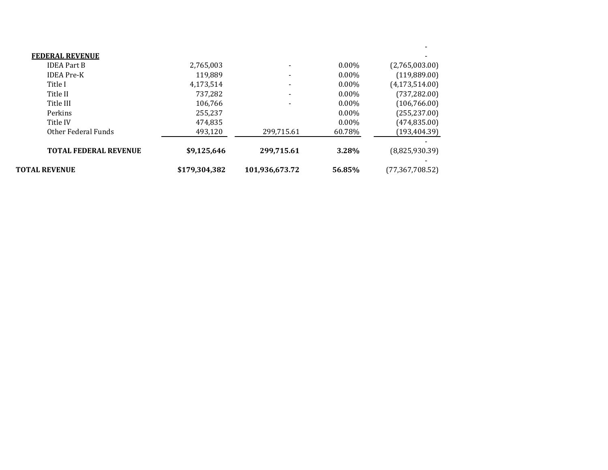| <b>TOTAL REVENUE</b>         | \$179,304,382 | 101,936,673.72           | 56.85%   | (77, 367, 708.52) |
|------------------------------|---------------|--------------------------|----------|-------------------|
| <b>TOTAL FEDERAL REVENUE</b> | \$9,125,646   | 299,715.61               | 3.28%    | (8,825,930.39)    |
| Other Federal Funds          | 493,120       | 299,715.61               | 60.78%   | (193, 404.39)     |
| Title IV                     | 474,835       |                          | $0.00\%$ | (474, 835.00)     |
| Perkins                      | 255.237       |                          | $0.00\%$ | (255, 237.00)     |
| Title III                    | 106.766       | $\overline{\phantom{a}}$ | $0.00\%$ | (106, 766.00)     |
| Title II                     | 737,282       | $\overline{\phantom{a}}$ | $0.00\%$ | (737, 282.00)     |
| Title I                      | 4,173,514     | $\overline{\phantom{a}}$ | $0.00\%$ | (4, 173, 514.00)  |
| <b>IDEA</b> Pre-K            | 119.889       | ۰                        | $0.00\%$ | (119,889.00)      |
| <b>IDEA Part B</b>           | 2,765,003     | $\overline{\phantom{0}}$ | $0.00\%$ | (2,765,003.00)    |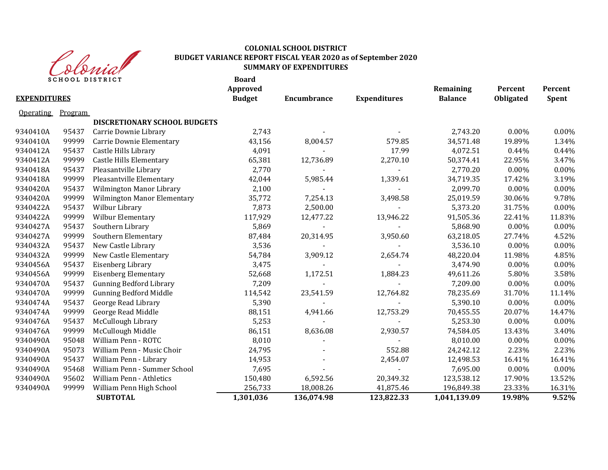

## **COLONIAL SCHOOL DISTRICT BUDGET VARIANCE REPORT FISCAL YEAR 2020 as of September 2020 SUMMARY OF EXPENDITURES**

|                     | <b>SCHOOL DISTRICT</b> |                                | <b>Board</b><br>Approved |             |                     | Remaining      | Percent   | Percent      |
|---------------------|------------------------|--------------------------------|--------------------------|-------------|---------------------|----------------|-----------|--------------|
| <b>EXPENDITURES</b> |                        |                                | <b>Budget</b>            | Encumbrance | <b>Expenditures</b> | <b>Balance</b> | Obligated | <b>Spent</b> |
| <b>Operating</b>    | Program                |                                |                          |             |                     |                |           |              |
|                     |                        | DISCRETIONARY SCHOOL BUDGETS   |                          |             |                     |                |           |              |
| 9340410A            | 95437                  | Carrie Downie Library          | 2,743                    |             |                     | 2,743.20       | 0.00%     | 0.00%        |
| 9340410A            | 99999                  | Carrie Downie Elementary       | 43,156                   | 8,004.57    | 579.85              | 34,571.48      | 19.89%    | 1.34%        |
| 9340412A            | 95437                  | Castle Hills Library           | 4,091                    |             | 17.99               | 4,072.51       | 0.44%     | 0.44%        |
| 9340412A            | 99999                  | <b>Castle Hills Elementary</b> | 65,381                   | 12,736.89   | 2,270.10            | 50,374.41      | 22.95%    | 3.47%        |
| 9340418A            | 95437                  | Pleasantville Library          | 2,770                    |             |                     | 2,770.20       | 0.00%     | 0.00%        |
| 9340418A            | 99999                  | Pleasantville Elementary       | 42,044                   | 5,985.44    | 1,339.61            | 34,719.35      | 17.42%    | 3.19%        |
| 9340420A            | 95437                  | Wilmington Manor Library       | 2,100                    |             |                     | 2,099.70       | 0.00%     | 0.00%        |
| 9340420A            | 99999                  | Wilmington Manor Elementary    | 35,772                   | 7,254.13    | 3,498.58            | 25,019.59      | 30.06%    | 9.78%        |
| 9340422A            | 95437                  | Wilbur Library                 | 7,873                    | 2,500.00    |                     | 5,373.20       | 31.75%    | $0.00\%$     |
| 9340422A            | 99999                  | Wilbur Elementary              | 117,929                  | 12,477.22   | 13,946.22           | 91,505.36      | 22.41%    | 11.83%       |
| 9340427A            | 95437                  | Southern Library               | 5,869                    | $\omega$    |                     | 5,868.90       | 0.00%     | 0.00%        |
| 9340427A            | 99999                  | Southern Elementary            | 87,484                   | 20,314.95   | 3,950.60            | 63,218.05      | 27.74%    | 4.52%        |
| 9340432A            | 95437                  | New Castle Library             | 3,536                    |             |                     | 3,536.10       | 0.00%     | 0.00%        |
| 9340432A            | 99999                  | New Castle Elementary          | 54,784                   | 3,909.12    | 2,654.74            | 48,220.04      | 11.98%    | 4.85%        |
| 9340456A            | 95437                  | Eisenberg Library              | 3,475                    |             |                     | 3.474.90       | 0.00%     | 0.00%        |
| 9340456A            | 99999                  | <b>Eisenberg Elementary</b>    | 52,668                   | 1,172.51    | 1,884.23            | 49,611.26      | 5.80%     | 3.58%        |
| 9340470A            | 95437                  | <b>Gunning Bedford Library</b> | 7,209                    |             |                     | 7,209.00       | 0.00%     | 0.00%        |
| 9340470A            | 99999                  | <b>Gunning Bedford Middle</b>  | 114,542                  | 23,541.59   | 12,764.82           | 78,235.69      | 31.70%    | 11.14%       |
| 9340474A            | 95437                  | George Read Library            | 5,390                    |             |                     | 5,390.10       | 0.00%     | 0.00%        |
| 9340474A            | 99999                  | George Read Middle             | 88,151                   | 4,941.66    | 12,753.29           | 70,455.55      | 20.07%    | 14.47%       |
| 9340476A            | 95437                  | McCullough Library             | 5,253                    |             |                     | 5,253.30       | 0.00%     | 0.00%        |
| 9340476A            | 99999                  | McCullough Middle              | 86,151                   | 8,636.08    | 2,930.57            | 74,584.05      | 13.43%    | 3.40%        |
| 9340490A            | 95048                  | William Penn - ROTC            | 8,010                    |             |                     | 8,010.00       | 0.00%     | 0.00%        |
| 9340490A            | 95073                  | William Penn - Music Choir     | 24,795                   |             | 552.88              | 24,242.12      | 2.23%     | 2.23%        |
| 9340490A            | 95437                  | William Penn - Library         | 14,953                   |             | 2,454.07            | 12,498.53      | 16.41%    | 16.41%       |
| 9340490A            | 95468                  | William Penn - Summer School   | 7,695                    |             |                     | 7,695.00       | 0.00%     | 0.00%        |
| 9340490A            | 95602                  | William Penn - Athletics       | 150,480                  | 6,592.56    | 20,349.32           | 123,538.12     | 17.90%    | 13.52%       |
| 9340490A            | 99999                  | William Penn High School       | 256,733                  | 18,008.26   | 41,875.46           | 196,849.38     | 23.33%    | 16.31%       |
|                     |                        | <b>SUBTOTAL</b>                | 1,301,036                | 136,074.98  | 123,822.33          | 1,041,139.09   | 19.98%    | 9.52%        |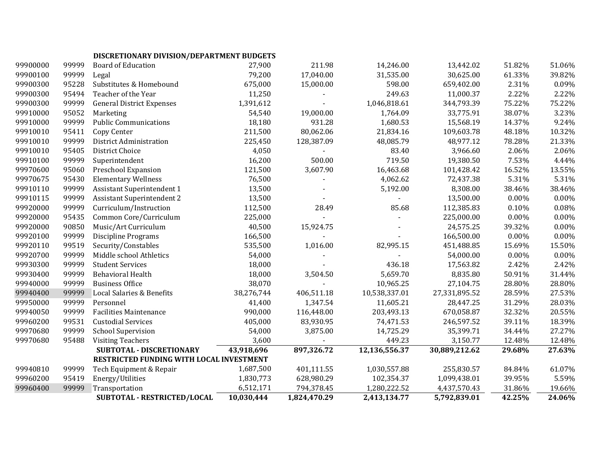# **DISCRETIONARY DIVISION/DEPARTMENT BUDGETS**

| 99900000 | 99999 | <b>Board of Education</b>                | 27,900     | 211.98       | 14,246.00     | 13,442.02     | 51.82% | 51.06%   |
|----------|-------|------------------------------------------|------------|--------------|---------------|---------------|--------|----------|
| 99900100 | 99999 | Legal                                    | 79,200     | 17,040.00    | 31,535.00     | 30,625.00     | 61.33% | 39.82%   |
| 99900300 | 95228 | Substitutes & Homebound                  | 675,000    | 15,000.00    | 598.00        | 659,402.00    | 2.31%  | 0.09%    |
| 99900300 | 95494 | Teacher of the Year                      | 11,250     |              | 249.63        | 11,000.37     | 2.22%  | 2.22%    |
| 99900300 | 99999 | <b>General District Expenses</b>         | 1,391,612  |              | 1,046,818.61  | 344,793.39    | 75.22% | 75.22%   |
| 99910000 | 95052 | Marketing                                | 54,540     | 19,000.00    | 1,764.09      | 33,775.91     | 38.07% | 3.23%    |
| 99910000 | 99999 | <b>Public Communications</b>             | 18,180     | 931.28       | 1,680.53      | 15,568.19     | 14.37% | 9.24%    |
| 99910010 | 95411 | Copy Center                              | 211,500    | 80,062.06    | 21,834.16     | 109,603.78    | 48.18% | 10.32%   |
| 99910010 | 99999 | District Administration                  | 225,450    | 128,387.09   | 48,085.79     | 48,977.12     | 78.28% | 21.33%   |
| 99910010 | 95405 | District Choice                          | 4,050      |              | 83.40         | 3,966.60      | 2.06%  | 2.06%    |
| 99910100 | 99999 | Superintendent                           | 16,200     | 500.00       | 719.50        | 19,380.50     | 7.53%  | 4.44%    |
| 99970600 | 95060 | Preschool Expansion                      | 121,500    | 3,607.90     | 16,463.68     | 101,428.42    | 16.52% | 13.55%   |
| 99970675 | 95430 | <b>Elementary Wellness</b>               | 76,500     |              | 4,062.62      | 72,437.38     | 5.31%  | 5.31%    |
| 99910110 | 99999 | <b>Assistant Superintendent 1</b>        | 13,500     |              | 5,192.00      | 8,308.00      | 38.46% | 38.46%   |
| 99910115 | 99999 | <b>Assistant Superintendent 2</b>        | 13,500     |              |               | 13,500.00     | 0.00%  | 0.00%    |
| 99920000 | 99999 | Curriculum/Instruction                   | 112,500    | 28.49        | 85.68         | 112,385.83    | 0.10%  | 0.08%    |
| 99920000 | 95435 | Common Core/Curriculum                   | 225,000    |              |               | 225,000.00    | 0.00%  | 0.00%    |
| 99920000 | 90850 | Music/Art Curriculum                     | 40,500     | 15,924.75    |               | 24,575.25     | 39.32% | 0.00%    |
| 99920100 | 99999 | <b>Discipline Programs</b>               | 166,500    |              |               | 166,500.00    | 0.00%  | 0.00%    |
| 99920110 | 99519 | Security/Constables                      | 535,500    | 1,016.00     | 82,995.15     | 451,488.85    | 15.69% | 15.50%   |
| 99920700 | 99999 | Middle school Athletics                  | 54,000     |              |               | 54,000.00     | 0.00%  | $0.00\%$ |
| 99930300 | 99999 | <b>Student Services</b>                  | 18,000     |              | 436.18        | 17,563.82     | 2.42%  | 2.42%    |
| 99930400 | 99999 | <b>Behavioral Health</b>                 | 18,000     | 3,504.50     | 5,659.70      | 8,835.80      | 50.91% | 31.44%   |
| 99940000 | 99999 | <b>Business Office</b>                   | 38,070     |              | 10,965.25     | 27,104.75     | 28.80% | 28.80%   |
| 99940400 | 99999 | Local Salaries & Benefits                | 38,276,744 | 406,511.18   | 10,538,337.01 | 27,331,895.52 | 28.59% | 27.53%   |
| 99950000 | 99999 | Personnel                                | 41,400     | 1,347.54     | 11,605.21     | 28,447.25     | 31.29% | 28.03%   |
| 99940050 | 99999 | <b>Facilities Maintenance</b>            | 990,000    | 116,448.00   | 203,493.13    | 670,058.87    | 32.32% | 20.55%   |
| 99960200 | 99531 | <b>Custodial Services</b>                | 405,000    | 83,930.95    | 74,471.53     | 246,597.52    | 39.11% | 18.39%   |
| 99970680 | 99999 | <b>School Supervision</b>                | 54,000     | 3,875.00     | 14,725.29     | 35,399.71     | 34.44% | 27.27%   |
| 99970680 | 95488 | <b>Visiting Teachers</b>                 | 3,600      |              | 449.23        | 3,150.77      | 12.48% | 12.48%   |
|          |       | SUBTOTAL - DISCRETIONARY                 | 43,918,696 | 897,326.72   | 12,136,556.37 | 30,889,212.62 | 29.68% | 27.63%   |
|          |       | RESTRICTED FUNDING WITH LOCAL INVESTMENT |            |              |               |               |        |          |
| 99940810 | 99999 | Tech Equipment & Repair                  | 1,687,500  | 401,111.55   | 1,030,557.88  | 255,830.57    | 84.84% | 61.07%   |
| 99960200 | 95419 | Energy/Utilities                         | 1,830,773  | 628,980.29   | 102,354.37    | 1,099,438.01  | 39.95% | 5.59%    |
| 99960400 | 99999 | Transportation                           | 6,512,171  | 794,378.45   | 1,280,222.52  | 4,437,570.43  | 31.86% | 19.66%   |
|          |       | SUBTOTAL - RESTRICTED/LOCAL              | 10,030,444 | 1,824,470.29 | 2,413,134.77  | 5,792,839.01  | 42.25% | 24.06%   |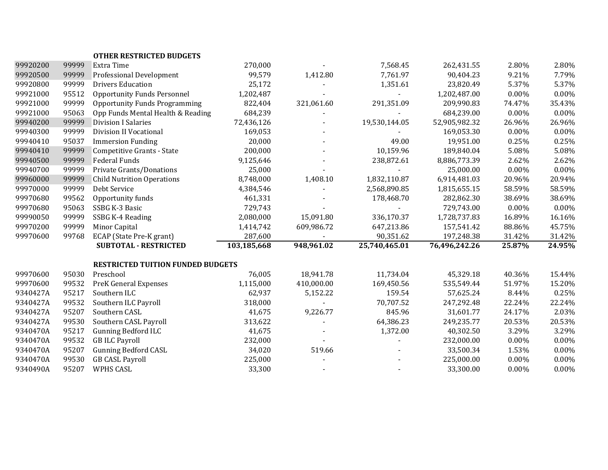|          |       | <b>OTHER RESTRICTED BUDGETS</b>          |             |                |               |               |        |        |
|----------|-------|------------------------------------------|-------------|----------------|---------------|---------------|--------|--------|
| 99920200 | 99999 | Extra Time                               | 270,000     |                | 7,568.45      | 262,431.55    | 2.80%  | 2.80%  |
| 99920500 | 99999 | Professional Development                 | 99,579      | 1,412.80       | 7,761.97      | 90,404.23     | 9.21%  | 7.79%  |
| 99920800 | 99999 | <b>Drivers Education</b>                 | 25,172      |                | 1,351.61      | 23,820.49     | 5.37%  | 5.37%  |
| 99921000 | 95512 | <b>Opportunity Funds Personnel</b>       | 1,202,487   |                |               | 1,202,487.00  | 0.00%  | 0.00%  |
| 99921000 | 99999 | <b>Opportunity Funds Programming</b>     | 822,404     | 321,061.60     | 291,351.09    | 209,990.83    | 74.47% | 35.43% |
| 99921000 | 95063 | Opp Funds Mental Health & Reading        | 684,239     |                |               | 684,239.00    | 0.00%  | 0.00%  |
| 99940200 | 99999 | <b>Division I Salaries</b>               | 72,436,126  |                | 19,530,144.05 | 52,905,982.32 | 26.96% | 26.96% |
| 99940300 | 99999 | <b>Division II Vocational</b>            | 169,053     |                |               | 169,053.30    | 0.00%  | 0.00%  |
| 99940410 | 95037 | <b>Immersion Funding</b>                 | 20,000      |                | 49.00         | 19,951.00     | 0.25%  | 0.25%  |
| 99940410 | 99999 | <b>Competitive Grants - State</b>        | 200,000     |                | 10,159.96     | 189,840.04    | 5.08%  | 5.08%  |
| 99940500 | 99999 | Federal Funds                            | 9,125,646   |                | 238,872.61    | 8,886,773.39  | 2.62%  | 2.62%  |
| 99940700 | 99999 | Private Grants/Donations                 | 25,000      |                |               | 25,000.00     | 0.00%  | 0.00%  |
| 99960000 | 99999 | <b>Child Nutrition Operations</b>        | 8,748,000   | 1,408.10       | 1,832,110.87  | 6,914,481.03  | 20.96% | 20.94% |
| 99970000 | 99999 | Debt Service                             | 4,384,546   |                | 2,568,890.85  | 1,815,655.15  | 58.59% | 58.59% |
| 99970680 | 99562 | Opportunity funds                        | 461,331     |                | 178,468.70    | 282,862.30    | 38.69% | 38.69% |
| 99970680 | 95063 | SSBG K-3 Basic                           | 729,743     |                |               | 729,743.00    | 0.00%  | 0.00%  |
| 99990050 | 99999 | SSBG K-4 Reading                         | 2,080,000   | 15,091.80      | 336,170.37    | 1,728,737.83  | 16.89% | 16.16% |
| 99970200 | 99999 | Minor Capital                            | 1,414,742   | 609,986.72     | 647,213.86    | 157,541.42    | 88.86% | 45.75% |
| 99970600 | 99768 | ECAP (State Pre-K grant)                 | 287,600     |                | 90,351.62     | 197,248.38    | 31.42% | 31.42% |
|          |       | <b>SUBTOTAL - RESTRICTED</b>             | 103,185,668 | 948,961.02     | 25,740,465.01 | 76,496,242.26 | 25.87% | 24.95% |
|          |       | <b>RESTRICTED TUITION FUNDED BUDGETS</b> |             |                |               |               |        |        |
| 99970600 | 95030 | Preschool                                | 76,005      | 18,941.78      | 11,734.04     | 45,329.18     | 40.36% | 15.44% |
| 99970600 | 99532 | <b>PreK General Expenses</b>             | 1,115,000   | 410,000.00     | 169,450.56    | 535,549.44    | 51.97% | 15.20% |
| 9340427A | 95217 | Southern ILC                             | 62,937      | 5,152.22       | 159.54        | 57,625.24     | 8.44%  | 0.25%  |
| 9340427A | 99532 | Southern ILC Payroll                     | 318,000     |                | 70,707.52     | 247,292.48    | 22.24% | 22.24% |
| 9340427A | 95207 | Southern CASL                            | 41,675      | 9,226.77       | 845.96        | 31,601.77     | 24.17% | 2.03%  |
| 9340427A | 99530 | Southern CASL Payroll                    | 313,622     |                | 64,386.23     | 249,235.77    | 20.53% | 20.53% |
| 9340470A | 95217 | <b>Gunning Bedford ILC</b>               | 41,675      |                | 1,372.00      | 40,302.50     | 3.29%  | 3.29%  |
| 9340470A | 99532 | <b>GB ILC Payroll</b>                    | 232,000     | $\blacksquare$ |               | 232,000.00    | 0.00%  | 0.00%  |
| 9340470A | 95207 | <b>Gunning Bedford CASL</b>              | 34,020      | 519.66         |               | 33,500.34     | 1.53%  | 0.00%  |
| 9340470A | 99530 | <b>GB CASL Payroll</b>                   | 225,000     |                |               | 225,000.00    | 0.00%  | 0.00%  |
| 9340490A | 95207 | WPHS CASL                                | 33,300      |                |               | 33,300.00     | 0.00%  | 0.00%  |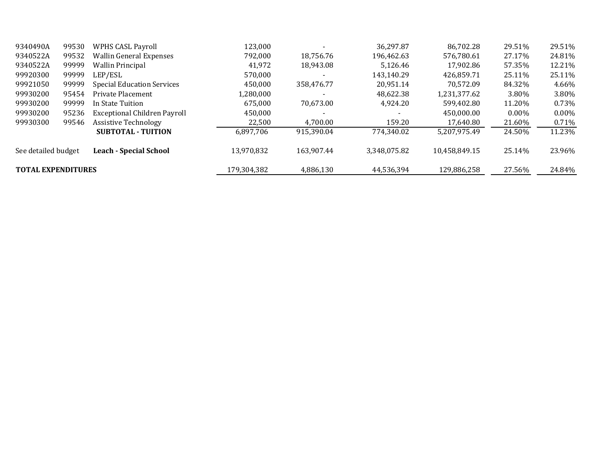| 9340490A                  | 99530 | <b>WPHS CASL Payroll</b>          | 123,000     |            | 36,297.87    | 86,702.28     | 29.51%   | 29.51%   |
|---------------------------|-------|-----------------------------------|-------------|------------|--------------|---------------|----------|----------|
| 9340522A                  | 99532 | <b>Wallin General Expenses</b>    | 792,000     | 18.756.76  | 196.462.63   | 576,780.61    | 27.17%   | 24.81%   |
| 9340522A                  | 99999 | <b>Wallin Principal</b>           | 41,972      | 18,943.08  | 5.126.46     | 17.902.86     | 57.35%   | 12.21%   |
| 99920300                  | 99999 | LEP/ESL                           | 570,000     |            | 143.140.29   | 426,859.71    | 25.11%   | 25.11%   |
| 99921050                  | 99999 | <b>Special Education Services</b> | 450,000     | 358,476.77 | 20.951.14    | 70.572.09     | 84.32%   | 4.66%    |
| 99930200                  | 95454 | Private Placement                 | 1,280,000   |            | 48.622.38    | 1,231,377.62  | 3.80%    | 3.80%    |
| 99930200                  | 99999 | In State Tuition                  | 675.000     | 70,673.00  | 4.924.20     | 599.402.80    | 11.20%   | 0.73%    |
| 99930200                  | 95236 | Exceptional Children Payroll      | 450,000     |            |              | 450,000.00    | $0.00\%$ | $0.00\%$ |
| 99930300                  | 99546 | <b>Assistive Technology</b>       | 22,500      | 4,700.00   | 159.20       | 17,640.80     | 21.60%   | 0.71%    |
|                           |       | <b>SUBTOTAL - TUITION</b>         | 6,897,706   | 915,390.04 | 774.340.02   | 5,207,975.49  | 24.50%   | 11.23%   |
| See detailed budget       |       | <b>Leach - Special School</b>     | 13.970.832  | 163.907.44 | 3.348.075.82 | 10,458,849.15 | 25.14%   | 23.96%   |
| <b>TOTAL EXPENDITURES</b> |       |                                   | 179,304,382 | 4,886,130  | 44,536,394   | 129,886,258   | 27.56%   | 24.84%   |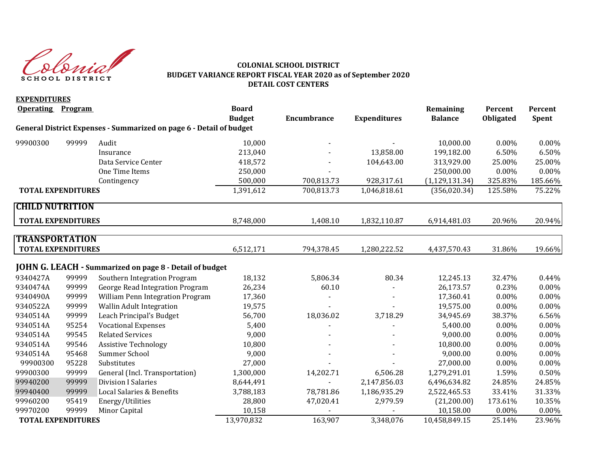Slovist SCHOOL DISTRICT

**EXPENDITURES**

## **COLONIAL SCHOOL DISTRICT BUDGET VARIANCE REPORT FISCAL YEAR 2020 as of September 2020 DETAIL COST CENTERS**

| <b>EXPENDITURES</b><br><b>Operating</b> | <b>Program</b> |                                                                     | <b>Board</b>  |                    |                     | Remaining        | Percent   | Percent  |
|-----------------------------------------|----------------|---------------------------------------------------------------------|---------------|--------------------|---------------------|------------------|-----------|----------|
|                                         |                |                                                                     | <b>Budget</b> | <b>Encumbrance</b> | <b>Expenditures</b> | <b>Balance</b>   | Obligated | Spent    |
|                                         |                | General District Expenses - Summarized on page 6 - Detail of budget |               |                    |                     |                  |           |          |
| 99900300                                | 99999          | Audit                                                               | 10,000        |                    |                     | 10,000.00        | $0.00\%$  | 0.00%    |
|                                         |                | Insurance                                                           | 213,040       |                    | 13,858.00           | 199,182.00       | 6.50%     | 6.50%    |
|                                         |                | Data Service Center                                                 | 418,572       |                    | 104,643.00          | 313,929.00       | 25.00%    | 25.00%   |
|                                         |                | One Time Items                                                      | 250,000       |                    |                     | 250,000.00       | $0.00\%$  | $0.00\%$ |
|                                         |                | Contingency                                                         | 500,000       | 700,813.73         | 928,317.61          | (1, 129, 131.34) | 325.83%   | 185.66%  |
| <b>TOTAL EXPENDITURES</b>               |                |                                                                     | 1,391,612     | 700,813.73         | 1,046,818.61        | (356, 020.34)    | 125.58%   | 75.22%   |
| <b>CHILD NUTRITION</b>                  |                |                                                                     |               |                    |                     |                  |           |          |
| <b>TOTAL EXPENDITURES</b>               |                |                                                                     | 8,748,000     | 1,408.10           | 1,832,110.87        | 6,914,481.03     | 20.96%    | 20.94%   |
| <b>TRANSPORTATION</b>                   |                |                                                                     |               |                    |                     |                  |           |          |
| <b>TOTAL EXPENDITURES</b>               |                |                                                                     | 6,512,171     | 794,378.45         | 1,280,222.52        | 4,437,570.43     | 31.86%    | 19.66%   |
|                                         |                |                                                                     |               |                    |                     |                  |           |          |
|                                         |                | <b>JOHN G. LEACH - Summarized on page 8 - Detail of budget</b>      |               |                    |                     |                  |           |          |
| 9340427A                                | 99999          | Southern Integration Program                                        | 18,132        | 5,806.34           | 80.34               | 12,245.13        | 32.47%    | 0.44%    |
| 9340474A                                | 99999          | George Read Integration Program                                     | 26,234        | 60.10              |                     | 26,173.57        | 0.23%     | 0.00%    |
| 9340490A                                | 99999          | William Penn Integration Program                                    | 17,360        |                    |                     | 17,360.41        | 0.00%     | 0.00%    |
| 9340522A                                | 99999          | Wallin Adult Integration                                            | 19,575        |                    |                     | 19,575.00        | $0.00\%$  | 0.00%    |
| 9340514A                                | 99999          | Leach Principal's Budget                                            | 56,700        | 18,036.02          | 3,718.29            | 34,945.69        | 38.37%    | 6.56%    |
| 9340514A                                | 95254          | <b>Vocational Expenses</b>                                          | 5,400         |                    |                     | 5,400.00         | $0.00\%$  | $0.00\%$ |
| 9340514A                                | 99545          | <b>Related Services</b>                                             | 9,000         |                    |                     | 9,000.00         | $0.00\%$  | 0.00%    |
| 9340514A                                | 99546          | <b>Assistive Technology</b>                                         | 10,800        |                    |                     | 10,800.00        | 0.00%     | 0.00%    |
| 9340514A                                | 95468          | Summer School                                                       | 9,000         |                    |                     | 9,000.00         | 0.00%     | 0.00%    |
| 99900300                                | 95228          | Substitutes                                                         | 27,000        |                    |                     | 27,000.00        | 0.00%     | $0.00\%$ |
| 99900300                                | 99999          | General (Incl. Transportation)                                      | 1,300,000     | 14,202.71          | 6,506.28            | 1,279,291.01     | 1.59%     | 0.50%    |
| 99940200                                | 99999          | <b>Division I Salaries</b>                                          | 8,644,491     |                    | 2,147,856.03        | 6,496,634.82     | 24.85%    | 24.85%   |
| 99940400                                | 99999          | Local Salaries & Benefits                                           | 3,788,183     | 78,781.86          | 1,186,935.29        | 2,522,465.53     | 33.41%    | 31.33%   |
| 99960200                                | 95419          | Energy/Utilities                                                    | 28,800        | 47,020.41          | 2,979.59            | (21,200.00)      | 173.61%   | 10.35%   |
| 99970200                                | 99999          | Minor Capital                                                       | 10,158        |                    |                     | 10,158.00        | $0.00\%$  | $0.00\%$ |
| <b>TOTAL EXPENDITURES</b>               |                |                                                                     | 13,970,832    | 163,907            | 3,348,076           | 10,458,849.15    | 25.14%    | 23.96%   |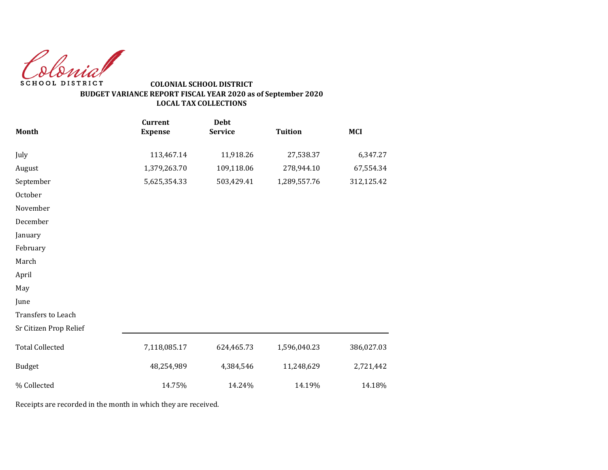Colonial SCHOOL DISTRICT

# **COLONIAL SCHOOL DISTRICT BUDGET VARIANCE REPORT FISCAL YEAR 2020 as of September 2020 LOCAL TAX COLLECTIONS**

|                        | <b>Current</b> | <b>Debt</b>    |                |            |
|------------------------|----------------|----------------|----------------|------------|
| Month                  | <b>Expense</b> | <b>Service</b> | <b>Tuition</b> | <b>MCI</b> |
| July                   | 113,467.14     | 11,918.26      | 27,538.37      | 6,347.27   |
| August                 | 1,379,263.70   | 109,118.06     | 278,944.10     | 67,554.34  |
| September              | 5,625,354.33   | 503,429.41     | 1,289,557.76   | 312,125.42 |
| October                |                |                |                |            |
| November               |                |                |                |            |
| December               |                |                |                |            |
| January                |                |                |                |            |
| February               |                |                |                |            |
| March                  |                |                |                |            |
| April                  |                |                |                |            |
| May                    |                |                |                |            |
| June                   |                |                |                |            |
| Transfers to Leach     |                |                |                |            |
| Sr Citizen Prop Relief |                |                |                |            |
| <b>Total Collected</b> | 7,118,085.17   | 624,465.73     | 1,596,040.23   | 386,027.03 |
| <b>Budget</b>          | 48,254,989     | 4,384,546      | 11,248,629     | 2,721,442  |
| % Collected            | 14.75%         | 14.24%         | 14.19%         | 14.18%     |

Receipts are recorded in the month in which they are received.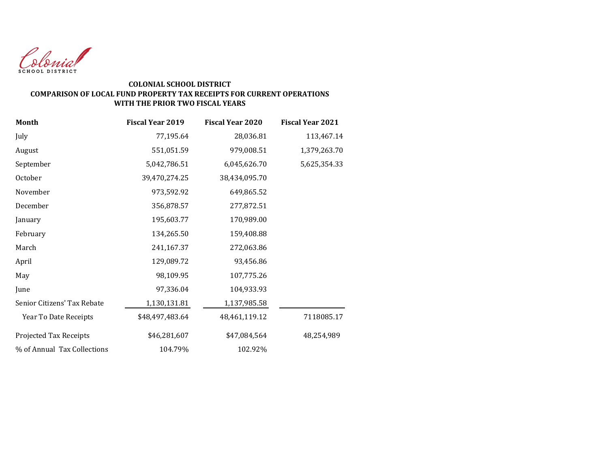

#### **COLONIAL SCHOOL DISTRICT COMPARISON OF LOCAL FUND PROPERTY TAX RECEIPTS FOR CURRENT OPERATIONS WITH THE PRIOR TWO FISCAL YEARS**

| <b>Month</b>                | <b>Fiscal Year 2019</b> | <b>Fiscal Year 2020</b> | <b>Fiscal Year 2021</b> |
|-----------------------------|-------------------------|-------------------------|-------------------------|
| July                        | 77,195.64               | 28,036.81               | 113,467.14              |
| August                      | 551,051.59              | 979,008.51              | 1,379,263.70            |
| September                   | 5,042,786.51            | 6,045,626.70            | 5,625,354.33            |
| October                     | 39,470,274.25           | 38,434,095.70           |                         |
| November                    | 973,592.92              | 649,865.52              |                         |
| December                    | 356,878.57              | 277,872.51              |                         |
| January                     | 195,603.77              | 170,989.00              |                         |
| February                    | 134,265.50              | 159,408.88              |                         |
| March                       | 241,167.37              | 272,063.86              |                         |
| April                       | 129,089.72              | 93,456.86               |                         |
| May                         | 98,109.95               | 107,775.26              |                         |
| June                        | 97,336.04               | 104,933.93              |                         |
| Senior Citizens' Tax Rebate | 1,130,131.81            | 1,137,985.58            |                         |
| Year To Date Receipts       | \$48,497,483.64         | 48,461,119.12           | 7118085.17              |
| Projected Tax Receipts      | \$46,281,607            | \$47,084,564            | 48,254,989              |
| % of Annual Tax Collections | 104.79%                 | 102.92%                 |                         |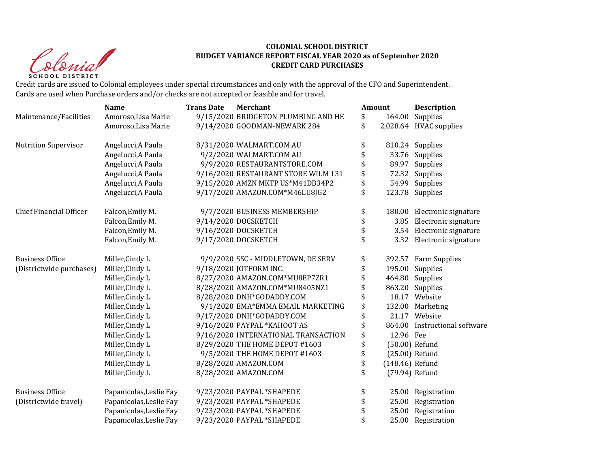Christ **SCHOOL DISTRICT** 

#### **COLONIAL SCHOOL DISTRICT BUDGET VARIANCE REPORT FISCAL YEAR 2020 as of September 2020 CREDIT CARD PURCHASES**

Credit cards are issued to Colonial employees under special circumstances and only with the approval of the CFO and Superintendent. Cards are used when Purchase orders and/or checks are not accepted or feasible and for travel.

|                                | <b>Name</b>             | <b>Trans Date</b> | Merchant                            | Amount          | <b>Description</b>            |
|--------------------------------|-------------------------|-------------------|-------------------------------------|-----------------|-------------------------------|
| Maintenance/Facilities         | Amoroso, Lisa Marie     |                   | 9/15/2020 BRIDGETON PLUMBING AND HE | \$<br>164.00    | Supplies                      |
|                                | Amoroso, Lisa Marie     |                   | 9/14/2020 GOODMAN-NEWARK 284        | \$              | 2,028.64 HVAC supplies        |
| <b>Nutrition Supervisor</b>    | Angelucci, A Paula      |                   | 8/31/2020 WALMART.COM AU            | \$              | 810.24 Supplies               |
|                                | Angelucci, A Paula      |                   | 9/2/2020 WALMART.COM AU             |                 | 33.76 Supplies                |
|                                | Angelucci, A Paula      |                   | 9/9/2020 RESTAURANTSTORE.COM        |                 | 89.97 Supplies                |
|                                | Angelucci, A Paula      |                   | 9/16/2020 RESTAURANT STORE WILM 131 |                 | 72.32 Supplies                |
|                                | Angelucci, A Paula      |                   | 9/15/2020 AMZN MKTP US*M41DB34P2    |                 | 54.99 Supplies                |
|                                | Angelucci, A Paula      |                   | 9/17/2020 AMAZON.COM*M46LU8JG2      | \$              | 123.78 Supplies               |
| <b>Chief Financial Officer</b> | Falcon, Emily M.        |                   | 9/7/2020 BUSINESS MEMBERSHIP        | \$              | 180.00 Electronic signature   |
|                                | Falcon, Emily M.        |                   | 9/14/2020 DOCSKETCH                 | \$<br>3.85      | Electronic signature          |
|                                | Falcon, Emily M.        |                   | 9/16/2020 DOCSKETCH                 |                 | 3.54 Electronic signature     |
|                                | Falcon, Emily M.        |                   | 9/17/2020 DOCSKETCH                 |                 | 3.32 Electronic signature     |
| <b>Business Office</b>         | Miller, Cindy L         |                   | 9/9/2020 SSC - MIDDLETOWN, DE SERV  | \$              | 392.57 Farm Supplies          |
| (Districtwide purchases)       | Miller, Cindy L         |                   | 9/18/2020 JOTFORM INC.              |                 | 195.00 Supplies               |
|                                | Miller, Cindy L         |                   | 8/27/2020 AMAZON.COM*MU8EP7ZR1      |                 | 464.80 Supplies               |
|                                | Miller, Cindy L         |                   | 8/28/2020 AMAZON.COM*MU8405NZ1      |                 | 863.20 Supplies               |
|                                | Miller, Cindy L         |                   | 8/28/2020 DNH*GODADDY.COM           |                 | 18.17 Website                 |
|                                | Miller, Cindy L         |                   | 9/1/2020 EMA*EMMA EMAIL MARKETING   |                 | 132.00 Marketing              |
|                                | Miller, Cindy L         |                   | 9/17/2020 DNH*GODADDY.COM           |                 | 21.17 Website                 |
|                                | Miller, Cindy L         |                   | 9/16/2020 PAYPAL *KAHOOT AS         |                 | 864.00 Instructional software |
|                                | Miller, Cindy L         |                   | 9/16/2020 INTERNATIONAL TRANSACTION | 12.96 Fee       |                               |
|                                | Miller, Cindy L         |                   | 8/29/2020 THE HOME DEPOT #1603      |                 | (50.00) Refund                |
|                                | Miller, Cindy L         |                   | 9/5/2020 THE HOME DEPOT #1603       |                 | (25.00) Refund                |
|                                | Miller, Cindy L         |                   | 8/28/2020 AMAZON.COM                | (148.46) Refund |                               |
|                                | Miller, Cindy L         |                   | 8/28/2020 AMAZON.COM                |                 | (79.94) Refund                |
| <b>Business Office</b>         | Papanicolas, Leslie Fay |                   | 9/23/2020 PAYPAL *SHAPEDE           | \$              | 25.00 Registration            |
| (Districtwide travel)          | Papanicolas, Leslie Fay |                   | 9/23/2020 PAYPAL *SHAPEDE           | 25.00           | Registration                  |
|                                | Papanicolas, Leslie Fay |                   | 9/23/2020 PAYPAL *SHAPEDE           | 25.00           | Registration                  |
|                                | Papanicolas, Leslie Fay |                   | 9/23/2020 PAYPAL *SHAPEDE           |                 | 25.00 Registration            |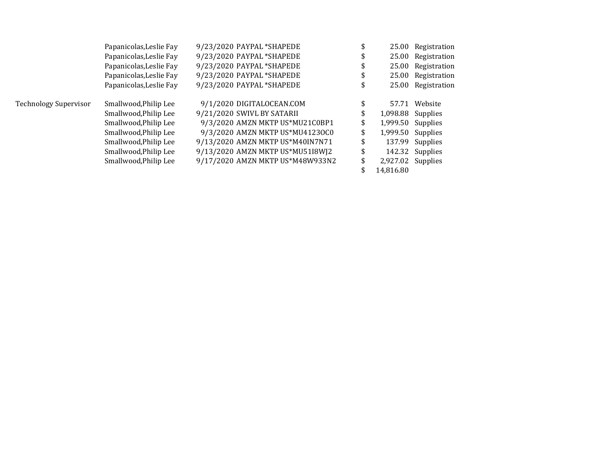|                       | Papanicolas, Leslie Fay | 9/23/2020 PAYPAL *SHAPEDE        |                           | 25.00 Registration |
|-----------------------|-------------------------|----------------------------------|---------------------------|--------------------|
|                       | Papanicolas, Leslie Fay | 9/23/2020 PAYPAL *SHAPEDE        |                           | 25.00 Registration |
|                       | Papanicolas, Leslie Fay | 9/23/2020 PAYPAL *SHAPEDE        |                           | 25.00 Registration |
|                       | Papanicolas, Leslie Fay | 9/23/2020 PAYPAL *SHAPEDE        | \$                        | 25.00 Registration |
|                       | Papanicolas, Leslie Fay | 9/23/2020 PAYPAL *SHAPEDE        |                           | 25.00 Registration |
| Technology Supervisor | Smallwood, Philip Lee   | 9/1/2020 DIGITALOCEAN.COM        |                           | 57.71 Website      |
|                       | Smallwood, Philip Lee   | 9/21/2020 SWIVL BY SATARII       | \$<br>1,098.88 Supplies   |                    |
|                       | Smallwood, Philip Lee   | 9/3/2020 AMZN MKTP US*MU21C0BP1  | 1,999.50 Supplies         |                    |
|                       | Smallwood, Philip Lee   | 9/3/2020 AMZN MKTP US*MU41230C0  | \$<br>$1,999.50$ Supplies |                    |
|                       | Smallwood, Philip Lee   | 9/13/2020 AMZN MKTP US*M40IN7N71 |                           | 137.99 Supplies    |
|                       | Smallwood, Philip Lee   | 9/13/2020 AMZN MKTP US*MU51I8WJ2 | \$                        | 142.32 Supplies    |
|                       | Smallwood, Philip Lee   | 9/17/2020 AMZN MKTP US*M48W933N2 | \$<br>2,927.02 Supplies   |                    |
|                       |                         |                                  | 14.816.80                 |                    |